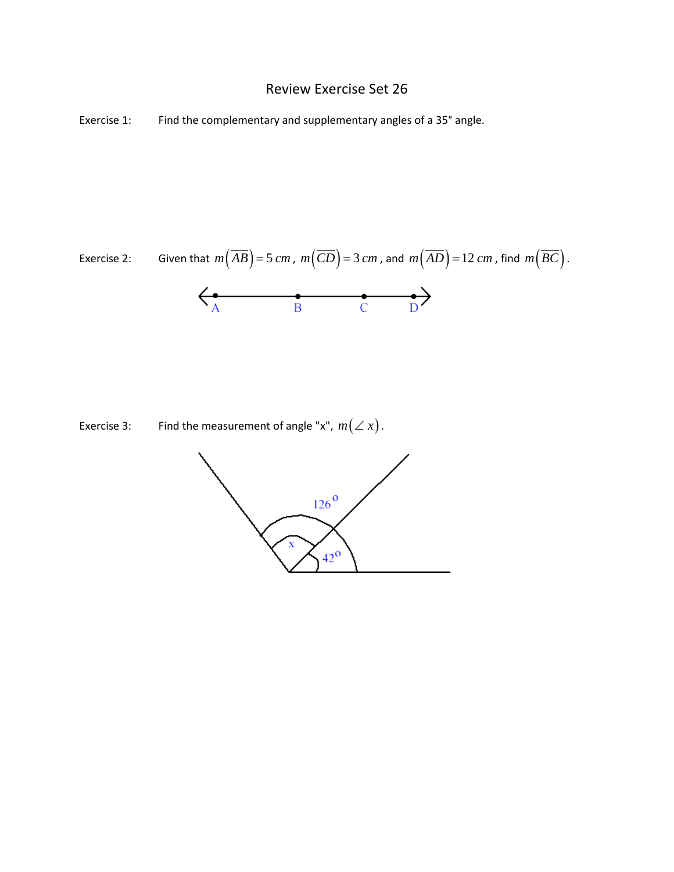## Review Exercise Set 26

Exercise 1: Find the complementary and supplementary angles of a 35° angle.

Exercise 2: Given that 
$$
m(\overline{AB}) = 5 \text{ cm}
$$
,  $m(\overline{CD}) = 3 \text{ cm}$ , and  $m(\overline{AD}) = 12 \text{ cm}$ , find  $m(\overline{BC})$ .



Exercise 3: Find the measurement of angle "x",  $m(\angle x)$ .

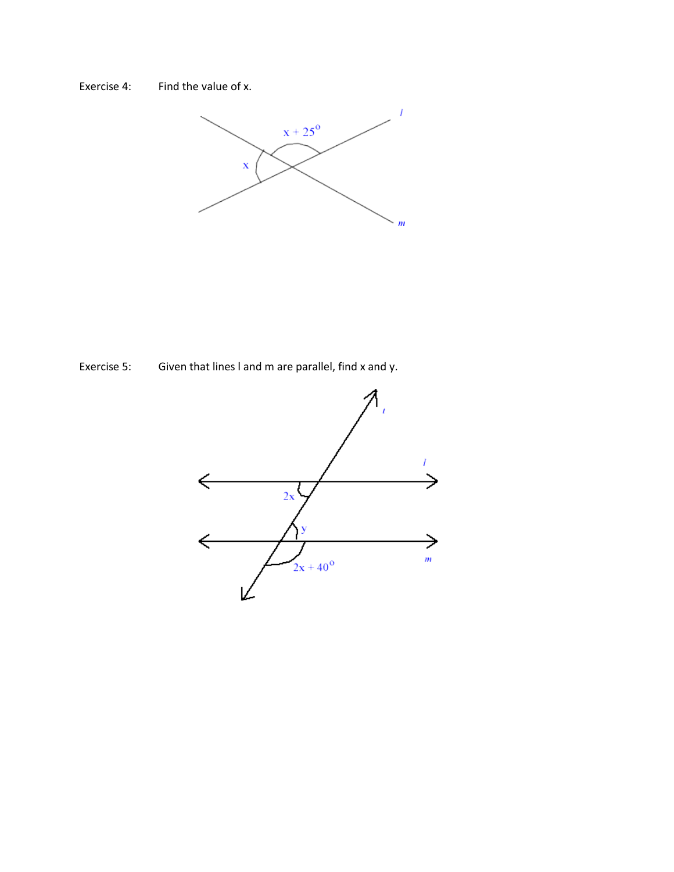



Exercise 5: Given that lines I and m are parallel, find x and y.

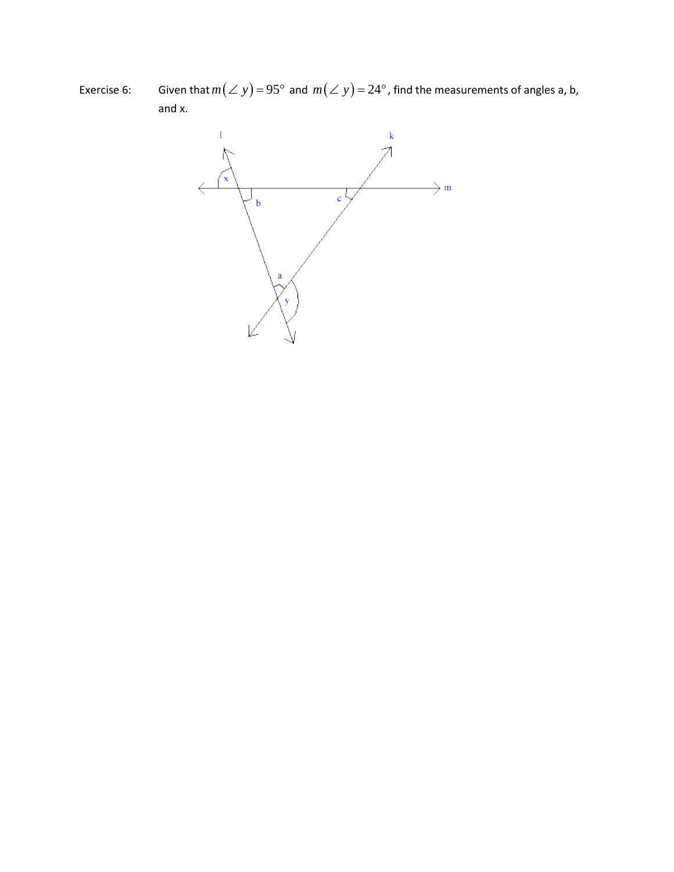Exercise 6: Given that  $m(\angle y) = 95^{\circ}$  and  $m(\angle y) = 24^{\circ}$ , find the measurements of angles a, b, and x.

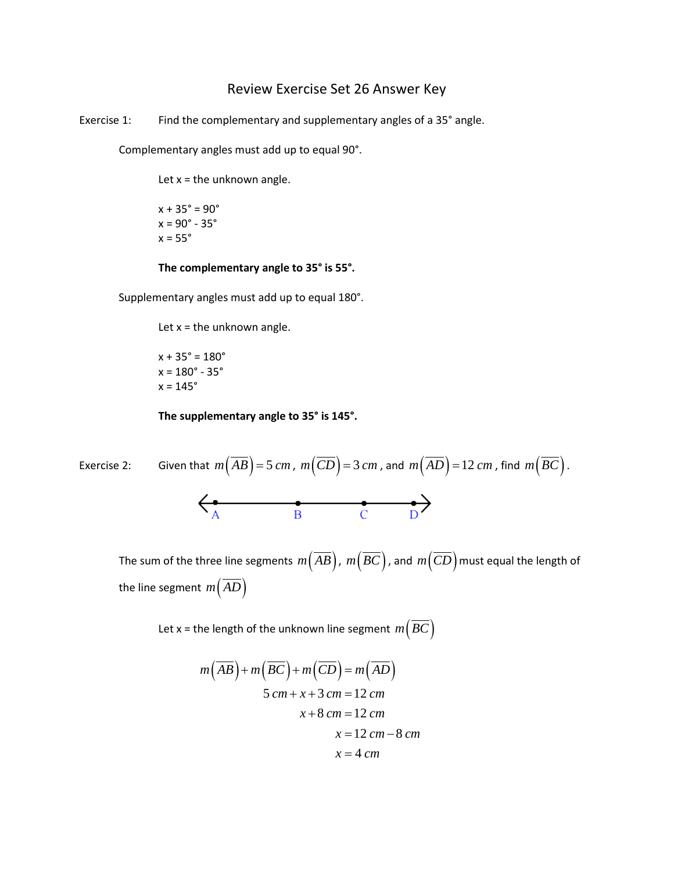## Review Exercise Set 26 Answer Key

Exercise 1: Find the complementary and supplementary angles of a 35° angle.

Complementary angles must add up to equal 90°.

Let  $x =$  the unknown angle.

 $x + 35^{\circ} = 90^{\circ}$  $x = 90^\circ - 35^\circ$  $x = 55^\circ$ 

## **The complementary angle to 35° is 55°.**

Supplementary angles must add up to equal 180°.

Let  $x =$  the unknown angle.

 $x + 35^{\circ} = 180^{\circ}$  $x = 180^\circ - 35^\circ$  $x = 145^\circ$ 

**The supplementary angle to 35° is 145°.**

Exercise 2: Given that 
$$
m(\overline{AB}) = 5 \text{ cm}
$$
,  $m(\overline{CD}) = 3 \text{ cm}$ , and  $m(\overline{AD}) = 12 \text{ cm}$ , find  $m(\overline{BC})$ .  
\n
$$
\leftarrow A \qquad \qquad B \qquad \qquad C \qquad \qquad D
$$

The sum of the three line segments  $m\left(\overline{AB}\right)$ ,  $m\left(\overline{BC}\right)$ , and  $m\left(\overline{CD}\right)$  must equal the length of the line segment  $m(AD)$ 

Let x = the length of the unknown line segment  $m(BC)$ 

$$
m(\overline{AB}) + m(\overline{BC}) + m(\overline{CD}) = m(\overline{AD})
$$
  
5 cm + x + 3 cm = 12 cm  
x + 8 cm = 12 cm  
x = 12 cm - 8 cm  
x = 4 cm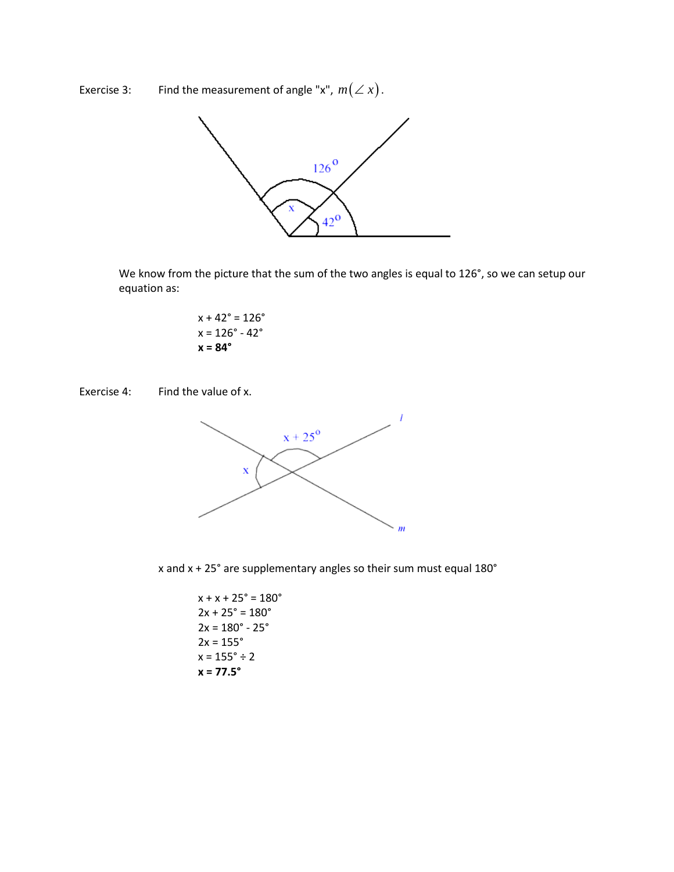Exercise 3: Find the measurement of angle "x",  $m(\angle x)$ .



We know from the picture that the sum of the two angles is equal to 126°, so we can setup our equation as:

$$
x + 42^{\circ} = 126^{\circ}
$$
  

$$
x = 126^{\circ} - 42^{\circ}
$$
  

$$
x = 84^{\circ}
$$

Exercise 4: Find the value of x.



x and x + 25° are supplementary angles so their sum must equal 180°

 $x + x + 25^{\circ} = 180^{\circ}$  $2x + 25^{\circ} = 180^{\circ}$  $2x = 180^\circ - 25^\circ$  $2x = 155°$  $x = 155^{\circ} \div 2$ **x = 77.5°**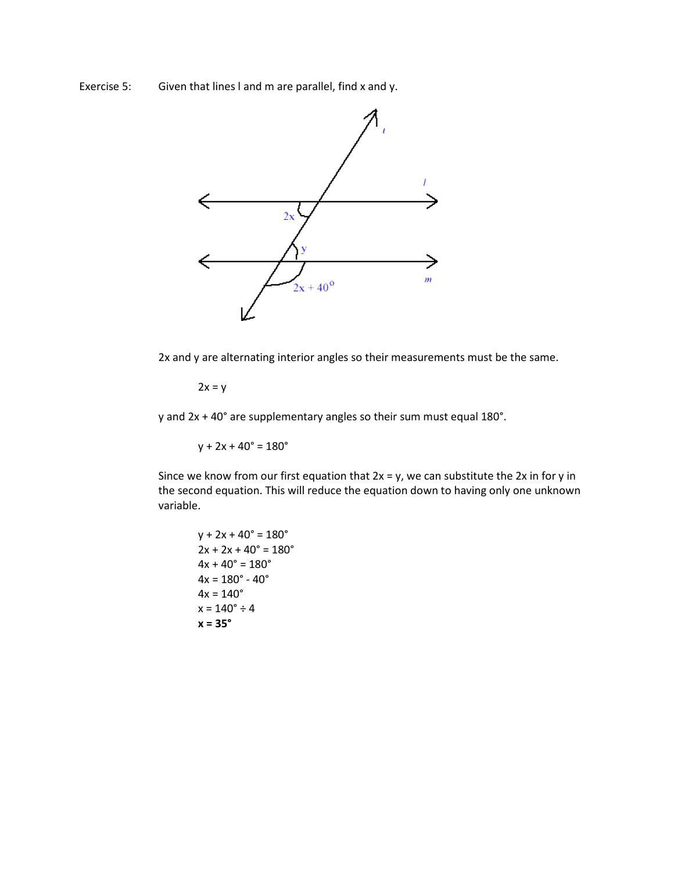Exercise 5: Given that lines I and m are parallel, find x and y.



2x and y are alternating interior angles so their measurements must be the same.

 $2x = y$ 

y and 2x + 40° are supplementary angles so their sum must equal 180°.

 $y + 2x + 40^{\circ} = 180^{\circ}$ 

Since we know from our first equation that  $2x = y$ , we can substitute the  $2x$  in for y in the second equation. This will reduce the equation down to having only one unknown variable.

$$
y + 2x + 40^{\circ} = 180^{\circ}
$$
  
\n
$$
2x + 2x + 40^{\circ} = 180^{\circ}
$$
  
\n
$$
4x + 40^{\circ} = 180^{\circ}
$$
  
\n
$$
4x = 180^{\circ} - 40^{\circ}
$$
  
\n
$$
4x = 140^{\circ}
$$
  
\n
$$
x = 140^{\circ} \div 4
$$
  
\n
$$
x = 35^{\circ}
$$